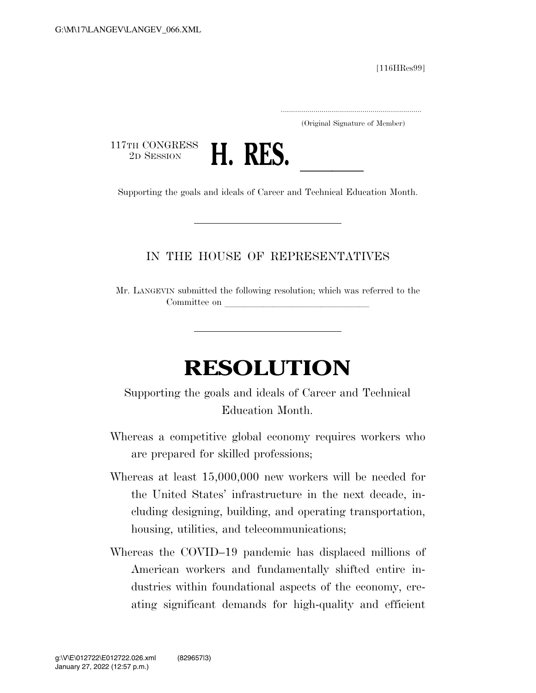[116HRes99]

.....................................................................

(Original Signature of Member)

117TH CONGRESS<br>2D SESSION



2D SESSION **H. RES.**<br>
Supporting the goals and ideals of Career and Technical Education Month.

## IN THE HOUSE OF REPRESENTATIVES

Mr. LANGEVIN submitted the following resolution; which was referred to the Committee on

## **RESOLUTION**

Supporting the goals and ideals of Career and Technical Education Month.

- Whereas a competitive global economy requires workers who are prepared for skilled professions;
- Whereas at least 15,000,000 new workers will be needed for the United States' infrastructure in the next decade, including designing, building, and operating transportation, housing, utilities, and telecommunications;
- Whereas the COVID–19 pandemic has displaced millions of American workers and fundamentally shifted entire industries within foundational aspects of the economy, creating significant demands for high-quality and efficient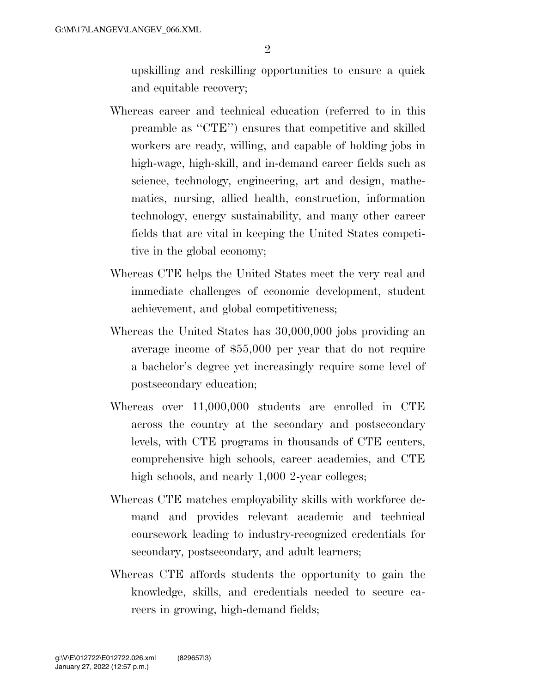upskilling and reskilling opportunities to ensure a quick and equitable recovery;

- Whereas career and technical education (referred to in this preamble as ''CTE'') ensures that competitive and skilled workers are ready, willing, and capable of holding jobs in high-wage, high-skill, and in-demand career fields such as science, technology, engineering, art and design, mathematics, nursing, allied health, construction, information technology, energy sustainability, and many other career fields that are vital in keeping the United States competitive in the global economy;
- Whereas CTE helps the United States meet the very real and immediate challenges of economic development, student achievement, and global competitiveness;
- Whereas the United States has 30,000,000 jobs providing an average income of \$55,000 per year that do not require a bachelor's degree yet increasingly require some level of postsecondary education;
- Whereas over 11,000,000 students are enrolled in CTE across the country at the secondary and postsecondary levels, with CTE programs in thousands of CTE centers, comprehensive high schools, career academies, and CTE high schools, and nearly 1,000 2-year colleges;
- Whereas CTE matches employability skills with workforce demand and provides relevant academic and technical coursework leading to industry-recognized credentials for secondary, postsecondary, and adult learners;
- Whereas CTE affords students the opportunity to gain the knowledge, skills, and credentials needed to secure careers in growing, high-demand fields;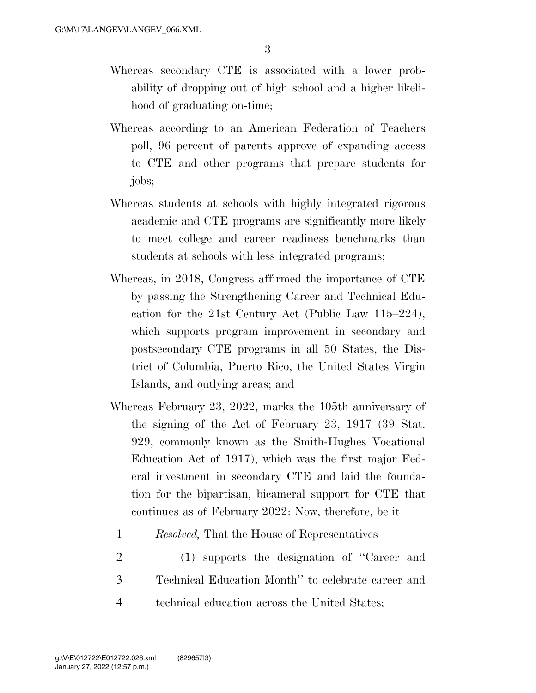- Whereas secondary CTE is associated with a lower probability of dropping out of high school and a higher likelihood of graduating on-time;
- Whereas according to an American Federation of Teachers poll, 96 percent of parents approve of expanding access to CTE and other programs that prepare students for jobs;
- Whereas students at schools with highly integrated rigorous academic and CTE programs are significantly more likely to meet college and career readiness benchmarks than students at schools with less integrated programs;
- Whereas, in 2018, Congress affirmed the importance of CTE by passing the Strengthening Career and Technical Education for the 21st Century Act (Public Law 115–224), which supports program improvement in secondary and postsecondary CTE programs in all 50 States, the District of Columbia, Puerto Rico, the United States Virgin Islands, and outlying areas; and
- Whereas February 23, 2022, marks the 105th anniversary of the signing of the Act of February 23, 1917 (39 Stat. 929, commonly known as the Smith-Hughes Vocational Education Act of 1917), which was the first major Federal investment in secondary CTE and laid the foundation for the bipartisan, bicameral support for CTE that continues as of February 2022: Now, therefore, be it
	- 1 *Resolved,* That the House of Representatives—
- 2 (1) supports the designation of ''Career and 3 Technical Education Month'' to celebrate career and 4 technical education across the United States;